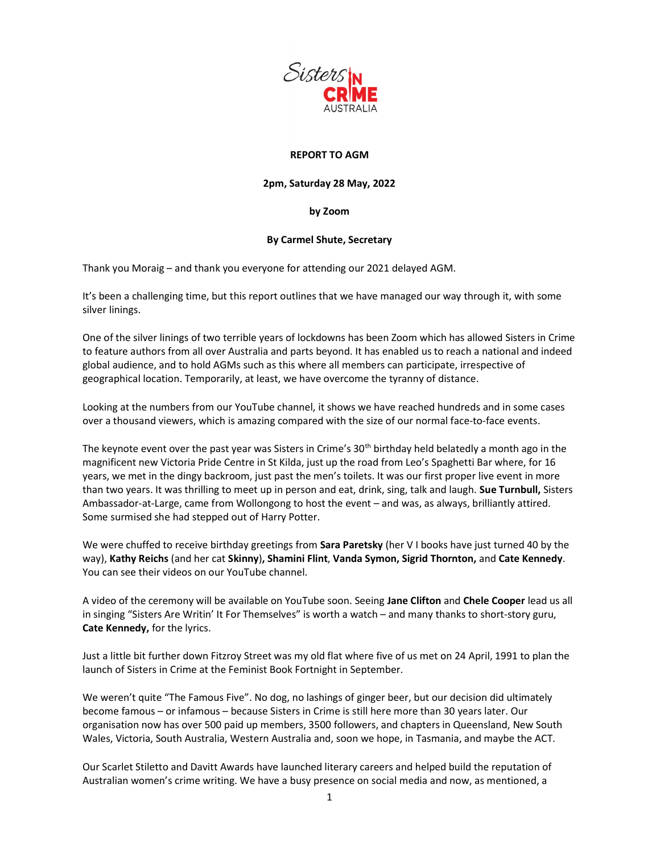

## REPORT TO AGM

## 2pm, Saturday 28 May, 2022

## by Zoom

## By Carmel Shute, Secretary

Thank you Moraig – and thank you everyone for attending our 2021 delayed AGM.

It's been a challenging time, but this report outlines that we have managed our way through it, with some silver linings.

One of the silver linings of two terrible years of lockdowns has been Zoom which has allowed Sisters in Crime to feature authors from all over Australia and parts beyond. It has enabled us to reach a national and indeed global audience, and to hold AGMs such as this where all members can participate, irrespective of geographical location. Temporarily, at least, we have overcome the tyranny of distance.

Looking at the numbers from our YouTube channel, it shows we have reached hundreds and in some cases over a thousand viewers, which is amazing compared with the size of our normal face-to-face events.

The keynote event over the past year was Sisters in Crime's  $30<sup>th</sup>$  birthday held belatedly a month ago in the magnificent new Victoria Pride Centre in St Kilda, just up the road from Leo's Spaghetti Bar where, for 16 years, we met in the dingy backroom, just past the men's toilets. It was our first proper live event in more than two years. It was thrilling to meet up in person and eat, drink, sing, talk and laugh. Sue Turnbull, Sisters Ambassador-at-Large, came from Wollongong to host the event – and was, as always, brilliantly attired. Some surmised she had stepped out of Harry Potter.

We were chuffed to receive birthday greetings from Sara Paretsky (her VI books have just turned 40 by the way), Kathy Reichs (and her cat Skinny), Shamini Flint, Vanda Symon, Sigrid Thornton, and Cate Kennedy. You can see their videos on our YouTube channel.

A video of the ceremony will be available on YouTube soon. Seeing Jane Clifton and Chele Cooper lead us all in singing "Sisters Are Writin' It For Themselves" is worth a watch – and many thanks to short-story guru, Cate Kennedy, for the lyrics.

Just a little bit further down Fitzroy Street was my old flat where five of us met on 24 April, 1991 to plan the launch of Sisters in Crime at the Feminist Book Fortnight in September.

We weren't quite "The Famous Five". No dog, no lashings of ginger beer, but our decision did ultimately become famous – or infamous – because Sisters in Crime is still here more than 30 years later. Our organisation now has over 500 paid up members, 3500 followers, and chapters in Queensland, New South Wales, Victoria, South Australia, Western Australia and, soon we hope, in Tasmania, and maybe the ACT.

Our Scarlet Stiletto and Davitt Awards have launched literary careers and helped build the reputation of Australian women's crime writing. We have a busy presence on social media and now, as mentioned, a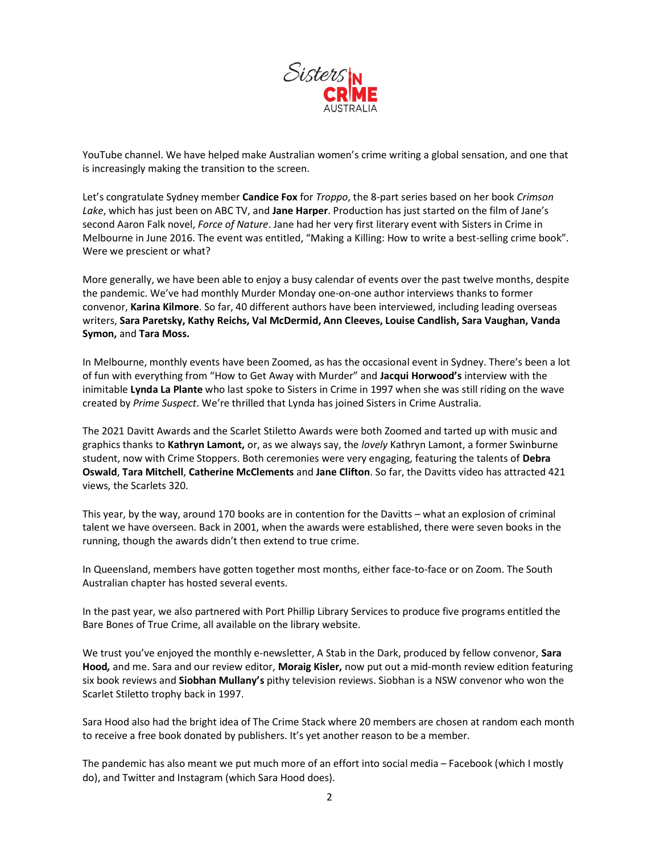

YouTube channel. We have helped make Australian women's crime writing a global sensation, and one that is increasingly making the transition to the screen.

Let's congratulate Sydney member Candice Fox for Troppo, the 8-part series based on her book Crimson Lake, which has just been on ABC TV, and Jane Harper. Production has just started on the film of Jane's second Aaron Falk novel, Force of Nature. Jane had her very first literary event with Sisters in Crime in Melbourne in June 2016. The event was entitled, "Making a Killing: How to write a best-selling crime book". Were we prescient or what?

More generally, we have been able to enjoy a busy calendar of events over the past twelve months, despite the pandemic. We've had monthly Murder Monday one-on-one author interviews thanks to former convenor, Karina Kilmore. So far, 40 different authors have been interviewed, including leading overseas writers, Sara Paretsky, Kathy Reichs, Val McDermid, Ann Cleeves, Louise Candlish, Sara Vaughan, Vanda Symon, and Tara Moss.

In Melbourne, monthly events have been Zoomed, as has the occasional event in Sydney. There's been a lot of fun with everything from "How to Get Away with Murder" and Jacqui Horwood's interview with the inimitable Lynda La Plante who last spoke to Sisters in Crime in 1997 when she was still riding on the wave created by Prime Suspect. We're thrilled that Lynda has joined Sisters in Crime Australia.

The 2021 Davitt Awards and the Scarlet Stiletto Awards were both Zoomed and tarted up with music and graphics thanks to Kathryn Lamont, or, as we always say, the lovely Kathryn Lamont, a former Swinburne student, now with Crime Stoppers. Both ceremonies were very engaging, featuring the talents of Debra Oswald, Tara Mitchell, Catherine McClements and Jane Clifton. So far, the Davitts video has attracted 421 views, the Scarlets 320.

This year, by the way, around 170 books are in contention for the Davitts – what an explosion of criminal talent we have overseen. Back in 2001, when the awards were established, there were seven books in the running, though the awards didn't then extend to true crime.

In Queensland, members have gotten together most months, either face-to-face or on Zoom. The South Australian chapter has hosted several events.

In the past year, we also partnered with Port Phillip Library Services to produce five programs entitled the Bare Bones of True Crime, all available on the library website.

We trust you've enjoyed the monthly e-newsletter, A Stab in the Dark, produced by fellow convenor, Sara Hood, and me. Sara and our review editor, Moraig Kisler, now put out a mid-month review edition featuring six book reviews and Siobhan Mullany's pithy television reviews. Siobhan is a NSW convenor who won the Scarlet Stiletto trophy back in 1997.

Sara Hood also had the bright idea of The Crime Stack where 20 members are chosen at random each month to receive a free book donated by publishers. It's yet another reason to be a member.

The pandemic has also meant we put much more of an effort into social media – Facebook (which I mostly do), and Twitter and Instagram (which Sara Hood does).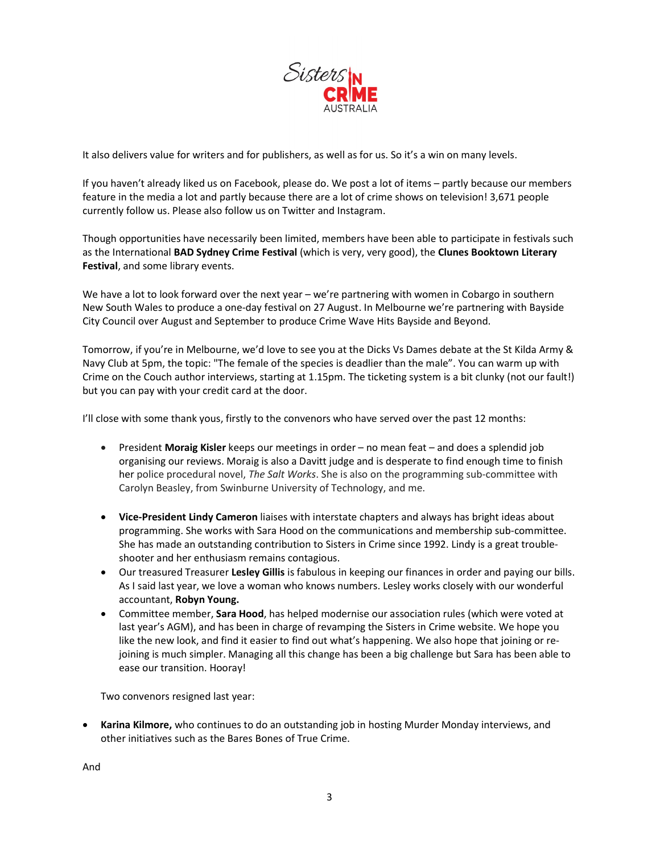

It also delivers value for writers and for publishers, as well as for us. So it's a win on many levels.

If you haven't already liked us on Facebook, please do. We post a lot of items – partly because our members feature in the media a lot and partly because there are a lot of crime shows on television! 3,671 people currently follow us. Please also follow us on Twitter and Instagram.

Though opportunities have necessarily been limited, members have been able to participate in festivals such as the International BAD Sydney Crime Festival (which is very, very good), the Clunes Booktown Literary Festival, and some library events.

We have a lot to look forward over the next year – we're partnering with women in Cobargo in southern New South Wales to produce a one-day festival on 27 August. In Melbourne we're partnering with Bayside City Council over August and September to produce Crime Wave Hits Bayside and Beyond.

Tomorrow, if you're in Melbourne, we'd love to see you at the Dicks Vs Dames debate at the St Kilda Army & Navy Club at 5pm, the topic: "The female of the species is deadlier than the male". You can warm up with Crime on the Couch author interviews, starting at 1.15pm. The ticketing system is a bit clunky (not our fault!) but you can pay with your credit card at the door.

I'll close with some thank yous, firstly to the convenors who have served over the past 12 months:

- President Moraig Kisler keeps our meetings in order no mean feat and does a splendid job organising our reviews. Moraig is also a Davitt judge and is desperate to find enough time to finish her police procedural novel, The Salt Works. She is also on the programming sub-committee with Carolyn Beasley, from Swinburne University of Technology, and me.
- Vice-President Lindy Cameron liaises with interstate chapters and always has bright ideas about programming. She works with Sara Hood on the communications and membership sub-committee. She has made an outstanding contribution to Sisters in Crime since 1992. Lindy is a great troubleshooter and her enthusiasm remains contagious.
- Our treasured Treasurer Lesley Gillis is fabulous in keeping our finances in order and paying our bills. As I said last year, we love a woman who knows numbers. Lesley works closely with our wonderful accountant, Robyn Young.
- Committee member, Sara Hood, has helped modernise our association rules (which were voted at last year's AGM), and has been in charge of revamping the Sisters in Crime website. We hope you like the new look, and find it easier to find out what's happening. We also hope that joining or rejoining is much simpler. Managing all this change has been a big challenge but Sara has been able to ease our transition. Hooray!

Two convenors resigned last year:

• Karina Kilmore, who continues to do an outstanding job in hosting Murder Monday interviews, and other initiatives such as the Bares Bones of True Crime.

And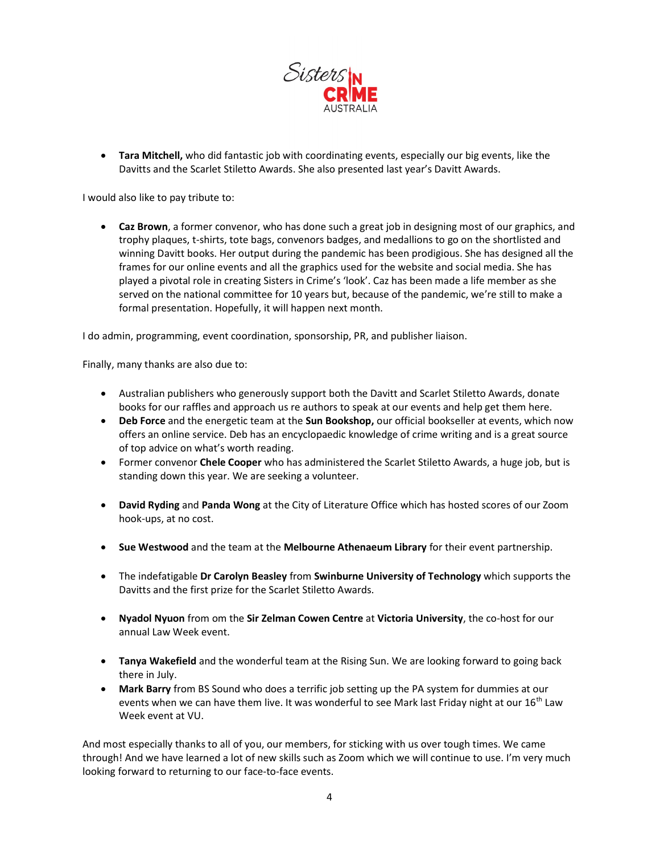

• Tara Mitchell, who did fantastic job with coordinating events, especially our big events, like the Davitts and the Scarlet Stiletto Awards. She also presented last year's Davitt Awards.

I would also like to pay tribute to:

• Caz Brown, a former convenor, who has done such a great job in designing most of our graphics, and trophy plaques, t-shirts, tote bags, convenors badges, and medallions to go on the shortlisted and winning Davitt books. Her output during the pandemic has been prodigious. She has designed all the frames for our online events and all the graphics used for the website and social media. She has played a pivotal role in creating Sisters in Crime's 'look'. Caz has been made a life member as she served on the national committee for 10 years but, because of the pandemic, we're still to make a formal presentation. Hopefully, it will happen next month.

I do admin, programming, event coordination, sponsorship, PR, and publisher liaison.

Finally, many thanks are also due to:

- Australian publishers who generously support both the Davitt and Scarlet Stiletto Awards, donate books for our raffles and approach us re authors to speak at our events and help get them here.
- Deb Force and the energetic team at the Sun Bookshop, our official bookseller at events, which now offers an online service. Deb has an encyclopaedic knowledge of crime writing and is a great source of top advice on what's worth reading.
- Former convenor Chele Cooper who has administered the Scarlet Stiletto Awards, a huge job, but is standing down this year. We are seeking a volunteer.
- David Ryding and Panda Wong at the City of Literature Office which has hosted scores of our Zoom hook-ups, at no cost.
- Sue Westwood and the team at the Melbourne Athenaeum Library for their event partnership.
- The indefatigable Dr Carolyn Beasley from Swinburne University of Technology which supports the Davitts and the first prize for the Scarlet Stiletto Awards.
- Nyadol Nyuon from om the Sir Zelman Cowen Centre at Victoria University, the co-host for our annual Law Week event.
- Tanya Wakefield and the wonderful team at the Rising Sun. We are looking forward to going back there in July.
- **Mark Barry** from BS Sound who does a terrific job setting up the PA system for dummies at our events when we can have them live. It was wonderful to see Mark last Friday night at our 16<sup>th</sup> Law Week event at VU.

And most especially thanks to all of you, our members, for sticking with us over tough times. We came through! And we have learned a lot of new skills such as Zoom which we will continue to use. I'm very much looking forward to returning to our face-to-face events.